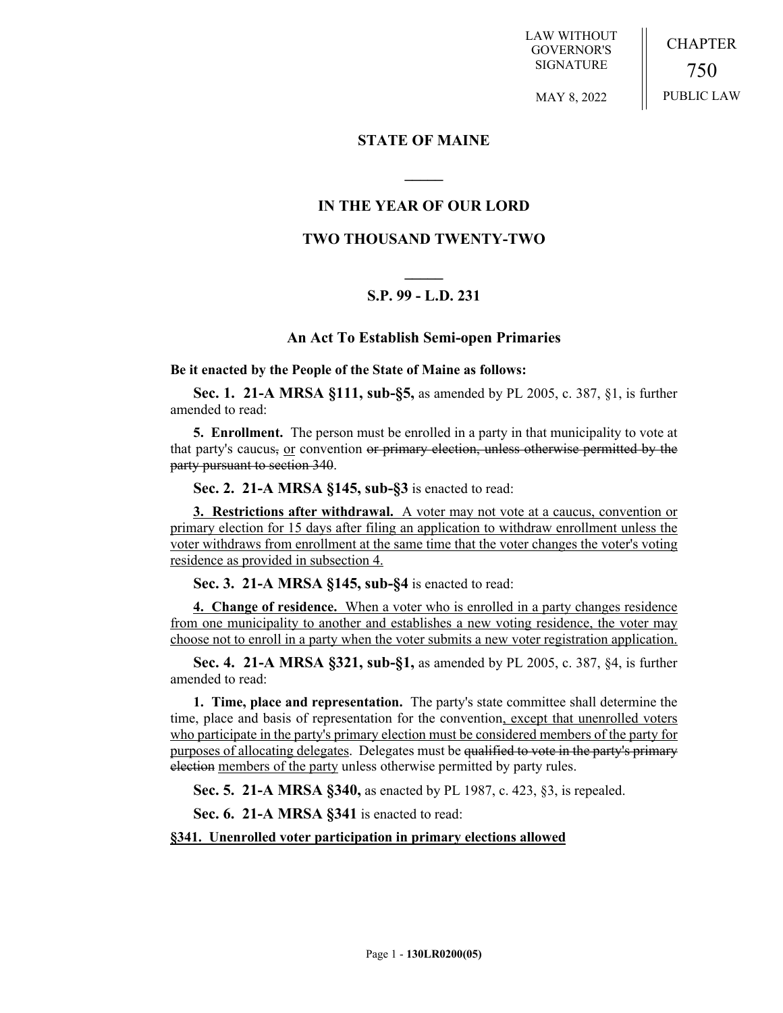LAW WITHOUT GOVERNOR'S SIGNATURE

CHAPTER 750 PUBLIC LAW

MAY 8, 2022

## **STATE OF MAINE**

# **IN THE YEAR OF OUR LORD**

**\_\_\_\_\_**

## **TWO THOUSAND TWENTY-TWO**

# **\_\_\_\_\_ S.P. 99 - L.D. 231**

### **An Act To Establish Semi-open Primaries**

**Be it enacted by the People of the State of Maine as follows:**

**Sec. 1. 21-A MRSA §111, sub-§5,** as amended by PL 2005, c. 387, §1, is further amended to read:

**5. Enrollment.** The person must be enrolled in a party in that municipality to vote at that party's caucus,  $or$  convention or primary election, unless otherwise permitted by the</u> party pursuant to section 340.

**Sec. 2. 21-A MRSA §145, sub-§3** is enacted to read:

**3. Restrictions after withdrawal.** A voter may not vote at a caucus, convention or primary election for 15 days after filing an application to withdraw enrollment unless the voter withdraws from enrollment at the same time that the voter changes the voter's voting residence as provided in subsection 4.

**Sec. 3. 21-A MRSA §145, sub-§4** is enacted to read:

**4. Change of residence.** When a voter who is enrolled in a party changes residence from one municipality to another and establishes a new voting residence, the voter may choose not to enroll in a party when the voter submits a new voter registration application.

**Sec. 4. 21-A MRSA §321, sub-§1,** as amended by PL 2005, c. 387, §4, is further amended to read:

**1. Time, place and representation.** The party's state committee shall determine the time, place and basis of representation for the convention, except that unenrolled voters who participate in the party's primary election must be considered members of the party for purposes of allocating delegates. Delegates must be qualified to vote in the party's primary election members of the party unless otherwise permitted by party rules.

**Sec. 5. 21-A MRSA §340,** as enacted by PL 1987, c. 423, §3, is repealed.

**Sec. 6. 21-A MRSA §341** is enacted to read:

**§341. Unenrolled voter participation in primary elections allowed**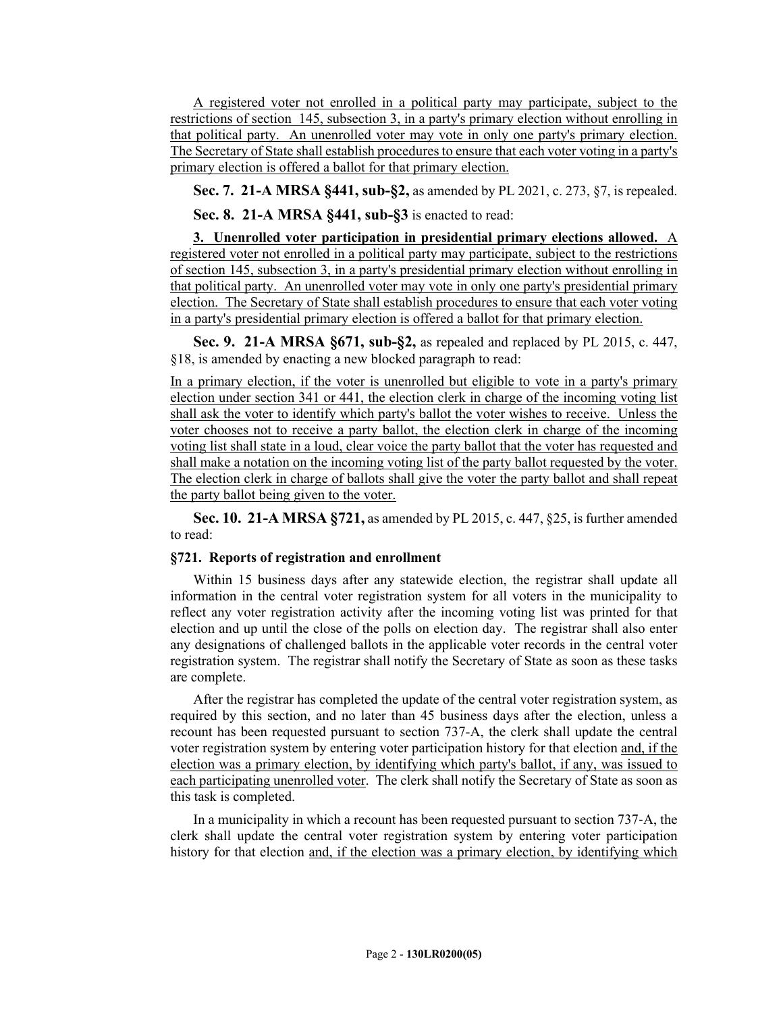A registered voter not enrolled in a political party may participate, subject to the restrictions of section 145, subsection 3, in a party's primary election without enrolling in that political party. An unenrolled voter may vote in only one party's primary election. The Secretary of State shall establish procedures to ensure that each voter voting in a party's primary election is offered a ballot for that primary election.

**Sec. 7. 21-A MRSA §441, sub-§2,** as amended by PL 2021, c. 273, §7, is repealed.

**Sec. 8. 21-A MRSA §441, sub-§3** is enacted to read:

**3. Unenrolled voter participation in presidential primary elections allowed.** A registered voter not enrolled in a political party may participate, subject to the restrictions of section 145, subsection 3, in a party's presidential primary election without enrolling in that political party. An unenrolled voter may vote in only one party's presidential primary election. The Secretary of State shall establish procedures to ensure that each voter voting in a party's presidential primary election is offered a ballot for that primary election.

**Sec. 9. 21-A MRSA §671, sub-§2,** as repealed and replaced by PL 2015, c. 447, §18, is amended by enacting a new blocked paragraph to read:

In a primary election, if the voter is unenrolled but eligible to vote in a party's primary election under section 341 or 441, the election clerk in charge of the incoming voting list shall ask the voter to identify which party's ballot the voter wishes to receive. Unless the voter chooses not to receive a party ballot, the election clerk in charge of the incoming voting list shall state in a loud, clear voice the party ballot that the voter has requested and shall make a notation on the incoming voting list of the party ballot requested by the voter. The election clerk in charge of ballots shall give the voter the party ballot and shall repeat the party ballot being given to the voter.

**Sec. 10. 21-A MRSA §721,** as amended by PL 2015, c. 447, §25, is further amended to read:

### **§721. Reports of registration and enrollment**

Within 15 business days after any statewide election, the registrar shall update all information in the central voter registration system for all voters in the municipality to reflect any voter registration activity after the incoming voting list was printed for that election and up until the close of the polls on election day. The registrar shall also enter any designations of challenged ballots in the applicable voter records in the central voter registration system. The registrar shall notify the Secretary of State as soon as these tasks are complete.

After the registrar has completed the update of the central voter registration system, as required by this section, and no later than 45 business days after the election, unless a recount has been requested pursuant to section 737-A, the clerk shall update the central voter registration system by entering voter participation history for that election and, if the election was a primary election, by identifying which party's ballot, if any, was issued to each participating unenrolled voter. The clerk shall notify the Secretary of State as soon as this task is completed.

In a municipality in which a recount has been requested pursuant to section 737‑A, the clerk shall update the central voter registration system by entering voter participation history for that election and, if the election was a primary election, by identifying which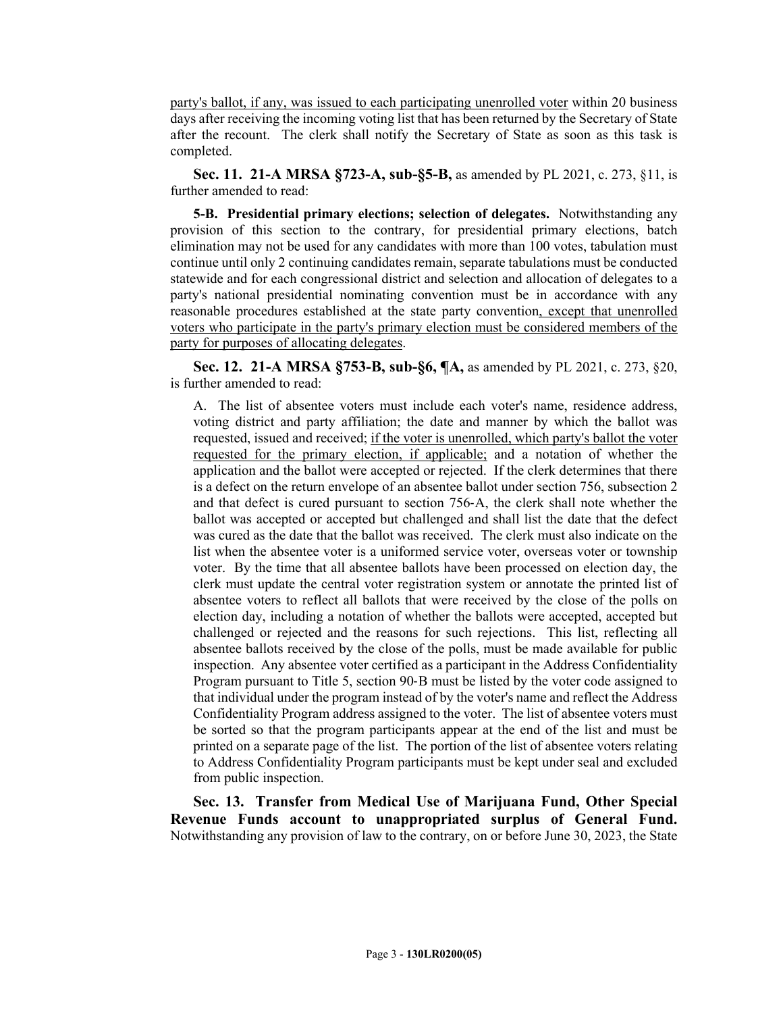party's ballot, if any, was issued to each participating unenrolled voter within 20 business days after receiving the incoming voting list that has been returned by the Secretary of State after the recount. The clerk shall notify the Secretary of State as soon as this task is completed.

**Sec. 11. 21-A MRSA §723-A, sub-§5-B,** as amended by PL 2021, c. 273, §11, is further amended to read:

**5-B. Presidential primary elections; selection of delegates.** Notwithstanding any provision of this section to the contrary, for presidential primary elections, batch elimination may not be used for any candidates with more than 100 votes, tabulation must continue until only 2 continuing candidates remain, separate tabulations must be conducted statewide and for each congressional district and selection and allocation of delegates to a party's national presidential nominating convention must be in accordance with any reasonable procedures established at the state party convention, except that unenrolled voters who participate in the party's primary election must be considered members of the party for purposes of allocating delegates.

**Sec. 12. 21-A MRSA §753-B, sub-§6, ¶A,** as amended by PL 2021, c. 273, §20, is further amended to read:

A. The list of absentee voters must include each voter's name, residence address, voting district and party affiliation; the date and manner by which the ballot was requested, issued and received; if the voter is unenrolled, which party's ballot the voter requested for the primary election, if applicable; and a notation of whether the application and the ballot were accepted or rejected. If the clerk determines that there is a defect on the return envelope of an absentee ballot under section 756, subsection 2 and that defect is cured pursuant to section 756‑A, the clerk shall note whether the ballot was accepted or accepted but challenged and shall list the date that the defect was cured as the date that the ballot was received. The clerk must also indicate on the list when the absentee voter is a uniformed service voter, overseas voter or township voter. By the time that all absentee ballots have been processed on election day, the clerk must update the central voter registration system or annotate the printed list of absentee voters to reflect all ballots that were received by the close of the polls on election day, including a notation of whether the ballots were accepted, accepted but challenged or rejected and the reasons for such rejections. This list, reflecting all absentee ballots received by the close of the polls, must be made available for public inspection. Any absentee voter certified as a participant in the Address Confidentiality Program pursuant to Title 5, section 90‑B must be listed by the voter code assigned to that individual under the program instead of by the voter's name and reflect the Address Confidentiality Program address assigned to the voter. The list of absentee voters must be sorted so that the program participants appear at the end of the list and must be printed on a separate page of the list. The portion of the list of absentee voters relating to Address Confidentiality Program participants must be kept under seal and excluded from public inspection.

**Sec. 13. Transfer from Medical Use of Marijuana Fund, Other Special Revenue Funds account to unappropriated surplus of General Fund.** Notwithstanding any provision of law to the contrary, on or before June 30, 2023, the State